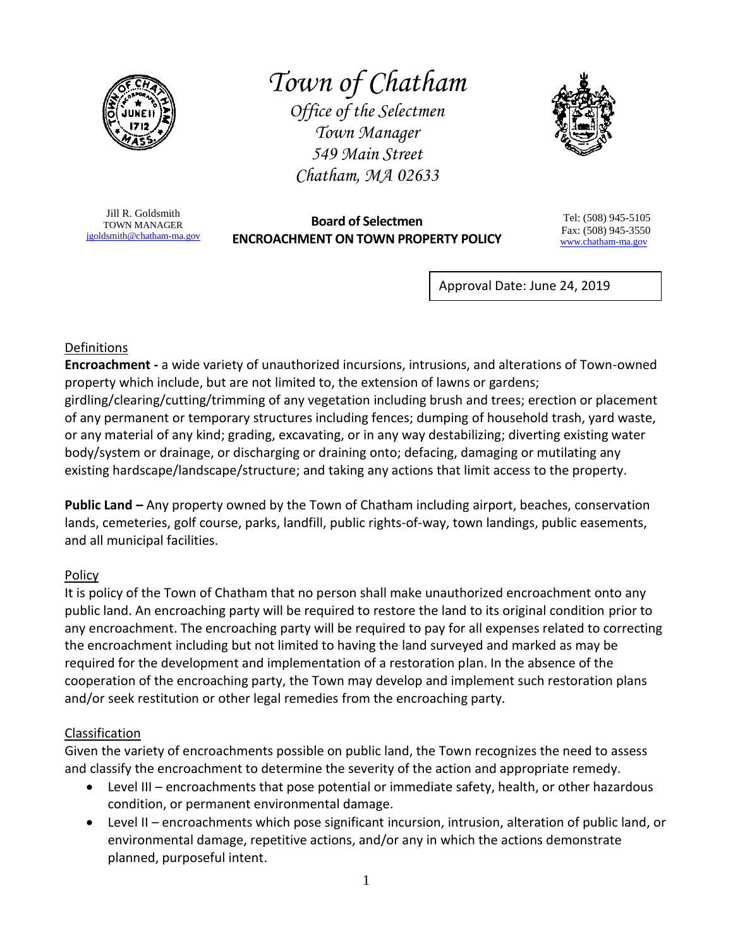

# *Town of Chatham*

*Office of the Selectmen Town Manager 549 Main Street Chatham, MA 02633*



Jill R. Goldsmith TOWN MANAGER [jgoldsmith@chatham-ma.gov](mailto:jgoldsmith@chatham-ma.gov)

**Board of Selectmen ENCROACHMENT ON TOWN PROPERTY POLICY**

Tel: (508) 945-5105 Fax: (508) 945-3550 [www.chatham-ma.gov](http://www.chatham-ma.gov/)

֪ׅ֚֬֝֬֝֬֝֬֝֬֝֬֝֬֝

Approval Date: June 24, 2019

### Definitions

**Encroachment -** a wide variety of unauthorized incursions, intrusions, and alterations of Town-owned property which include, but are not limited to, the extension of lawns or gardens; girdling/clearing/cutting/trimming of any vegetation including brush and trees; erection or placement of any permanent or temporary structures including fences; dumping of household trash, yard waste, or any material of any kind; grading, excavating, or in any way destabilizing; diverting existing water body/system or drainage, or discharging or draining onto; defacing, damaging or mutilating any existing hardscape/landscape/structure; and taking any actions that limit access to the property.

**Public Land –** Any property owned by the Town of Chatham including airport, beaches, conservation lands, cemeteries, golf course, parks, landfill, public rights-of-way, town landings, public easements, and all municipal facilities.

# Policy

It is policy of the Town of Chatham that no person shall make unauthorized encroachment onto any public land. An encroaching party will be required to restore the land to its original condition prior to any encroachment. The encroaching party will be required to pay for all expenses related to correcting the encroachment including but not limited to having the land surveyed and marked as may be required for the development and implementation of a restoration plan. In the absence of the cooperation of the encroaching party, the Town may develop and implement such restoration plans and/or seek restitution or other legal remedies from the encroaching party.

#### Classification

Given the variety of encroachments possible on public land, the Town recognizes the need to assess and classify the encroachment to determine the severity of the action and appropriate remedy.

- Level III encroachments that pose potential or immediate safety, health, or other hazardous condition, or permanent environmental damage.
- Level II encroachments which pose significant incursion, intrusion, alteration of public land, or environmental damage, repetitive actions, and/or any in which the actions demonstrate planned, purposeful intent.